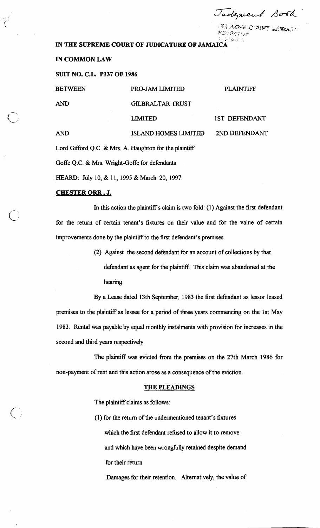Tadgment Book

TA WERAN O PURTY LIGHTEACH 保護である所

# IN THE SUPREME COURT OF JUDICATURE OF JAMAIC.

#### **IN COMMON LAW**

**SUIT NO. C.L. PI37 OF 1986** 

| <b>BETWEEN</b>                                         | <b>PRO-JAM LIMITED</b>      | <b>PLAINTIFF</b>     |
|--------------------------------------------------------|-----------------------------|----------------------|
| <b>AND</b>                                             | <b>GILBRALTAR TRUST</b>     |                      |
|                                                        | <b>LIMITED</b>              | <b>1ST DEFENDANT</b> |
| <b>AND</b>                                             | <b>ISLAND HOMES LIMITED</b> | 2ND DEFENDANT        |
| Lord Gifford Q.C. & Mrs. A. Haughton for the plaintiff |                             |                      |

Goffe Q.C. & Mrs. Wright-Goffe for defendants

HEARD: July 10, & 11, 1995 & March 20, 1997.

# CHESTER **ORR** , **J,**

In this action the plaintiff's claim is two fold:  $(1)$  Against the first defendant for the return of certain tenant's fixtures on their value and for the value of certain improvements done by the plaintiff to the first defendant's premises.

> (2) Against the second defendant for an account of collections by that defendant as agent for the plaintiff. This claim was abandoned at the hearing.

By a Lease dated 13th September, 1983 the first defendant as lessor leased premises to the plaintiff as lessee for a period of three years commencing on the 1st May 1983. Rental was payable by equal monthly instalments with provision for increases in the second and third years respectively.

The plaintiff was evicted fiom the premises on the 27th March 1986 for non-payment of rent and this action arose as a consequence of the eviction.

### **THE PLEADINGS**

The plaintiff claims as follows:

(1) for the return of the undermentioned tenant's fixtures which the first defendant refused to allow it to remove and which have been wrongfully retained despite demand for their return.

Damages for their retention. Alternatively, the value of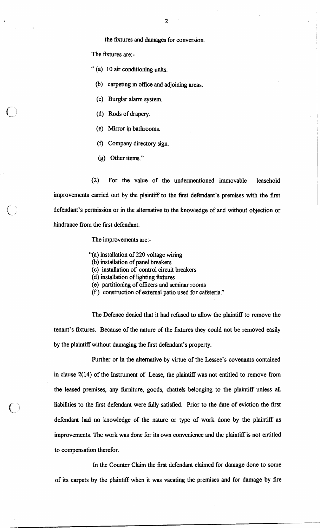The fixtures are:-

" (a) 10 air conditioning units.

(b) carpeting in office and adjoining areas.

(c) Burglar alarm system.

- (d) Rods of drapery.
- (e) Mirror in bathrooms.
- (f) Company directory sign.
- (g) Other items."

(2) For the value of the undermentioned immovable leasehold improvements carried out by the plaintiff to the first defendant's premises with the first defendant's permission or in the alternative to the knowledge of and without objection or hindrance from the first defendant.

### The improvements are:-

- "(a) installation of 220 voltage wiring
- (b) installation of panel breakers
- (c) installation of control circuit breakers
- (d) installation of lighting fixtures
- (e) partitioning of officers and seminar rooms
- (f ) construction of external patio used for cafeteria."

The Defence denied that it had refused to allow the plaintiff to remove the tenant's fixtures. Because of the nature of the fixtures they could not be removed easily by the plaintiff without damaging the first defendant's property.

Further or in the alternative by virtue of the Lessee's covenants contained in clause  $2(14)$  of the Instrument of Lease, the plaintiff was not entitled to remove from the leased premises, any hrniture, goods, chattels belonging to the plaintiff unless all liabilities to the first defendant were hlly satisfied. Prior to the date of eviction the first defendant had no knowledge of the nature or type of work done by the plaintiff as improvements. The work was done for its own convenience and the plaintiff is not entitled to compensation therefor.

In the Counter Claim the first defendant claimed for damage done to some of its carpets by the plaintiff when it was vacating the premises and for damage by fire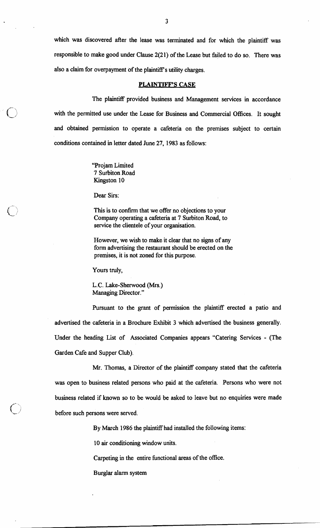which was discovered after the lease was terminated and for which the plaintiff was responsible to make good under Clause 2(21) of the Lease but failed to do so. There was also a claim for overpayment of the plaintiff's utility charges.

#### **PLAINTIFF'S CASE**

The plaintiff provided business and Management services in accordance with the permitted use under the Lease for Business and Commercial Offices. It sought and obtained permission to operate a cafeteria on the premises subject to certain conditions contained in letter dated June 27, 1983 as follows:

> "Projam Limited 7 Surbiton Road Kingston 10

Dear Sirs:

This is to confirm that we offer no objections to your Company operating a cafeteria at 7 Surbiton Road, to service the clientele of your organisation.

However, we wish to make it clear that no signs of any form advertising the restaurant should be erected on the premises, it is not zoned for this purpose.

Yours truly,

L.C. Lake-Sherwood (Mrs.) Managing Director."

Pursuant to the grant of permission the plaintiff erected a patio and advertised the cafeteria in a Brochure Exhibit 3 which advertised the business generally. Under the heading List of Associated Companies appears "Catering Services - (The Garden Cafe and Supper Club).

Mr. Thomas, a Director of the plaintiff company stated that the cafeteria was open to business related persons who paid at the cafeteria. Persons who were not business related if known so to be would be asked to leave but no enquiries were made before such persons were served.

By March 1986 the plaintiff had installed the following items:

10 air conditioning window units.

Carpeting in the entire functional areas of the office.

Burglar alarm system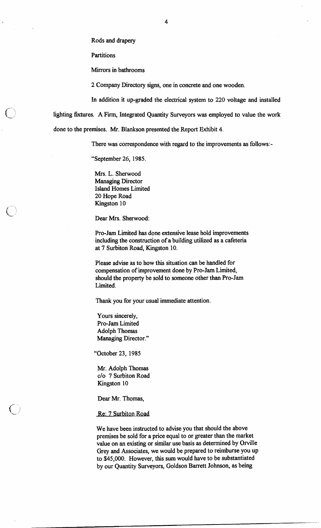Rods and drapery

**Partitions** 

Mirrors in bathrooms

2 Company Directory signs, one in concrete and one wooden.

In addition it up-graded the electrical system to 220 voltage and installed

lighting fixtures. A Firm, Integrated Quantity Surveyors was employed to value the work

done to the premises. Mr. Blankson presented the Report Exhibit 4.

There was correspondence with regard to the improvements as follows:-

"September 26, 1985.

Mrs. L. Sherwood Managing Director Island Homes Limited 20 Hope Road Kingston 10

Dear Mrs. Sherwood:

Pro-Jam Limited has done extensive lease hold improvements including the construction of a building utilized as a cafeteria at 7 Surbiton Road, Kingston 10.

Please advise as to how this situation can be handled for compensation of improvement done by Pro-Jam Limited, should the property be sold to someone other than Pro-Jam Limited.

Thank you for your usual immediate attention.

Yours sincerely, Pro-Jam Limited Adolph Thomas Managing Director."

"October 23, 1985

Mr. Adolph Thomas C/O 7 Surbiton Road Kingston 10

Dear Mr. Thomas,

Re: 7 Surbiton Road

We have been instructed to advise you that should the above premises be sold for a price equal to or greater than the market value on an existing or similar use basis as determined by Orville Grey and Associates, we would be prepared to reimburse you up to \$45,000. However, this sum would have to be substantiated by our Quantity Surveyors, Goldson Barrett Johnson, as being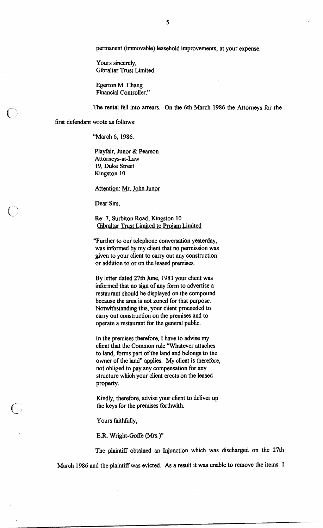permanent (immovable) leasehold improvements, at your expense.

Yours sincerely, Gibraltar Trust Limited

Egerton M. Chang Financial Controller."

The rental fell into arrears. On the 6th March 1986 the Attorneys for the

first defendant wrote as follows:

"March 6, 1986.

Playfair, Junor & Pearson Attorneys-at-Law 19, Duke Street Kingston 10

Attention: Mr. John Junor

Dear Sirs,

Re: 7, Surbiton Road, Kingston 10 Gibraltar Trust Limited to Projam Limited

"Further to our telephone conversation yesterday, was informed by my client that no permission was given to your client to carry out any construction or addition to or on the leased premises.

By letter dated 27th June, 1983 your client was informed that no sign of any form to advertise a restaurant should be displayed on the compound because the area is not zoned for that purpose. Notwithstanding this, your client proceeded to carry out construction on the premises and to operate a restaurant for the general public.

In the premises therefore, I have to advise my client that the Common rule "Whatever attaches to land, forms part of the land and belongs to the owner of the land" applies. My client is therefore, not obliged to pay any compensation for any structure which your client erects on the leased property

Kindly, therefore, advise your client to deliver up the keys for the premises forthwith.

Yours faithfully,

**E.R.** Wright-Goffe (Mrs.)"

The plaintiff obtained an Injunction which was discharged on the 27th March 1986 and the plaintiff was evicted. As a result it was unable to remove the items I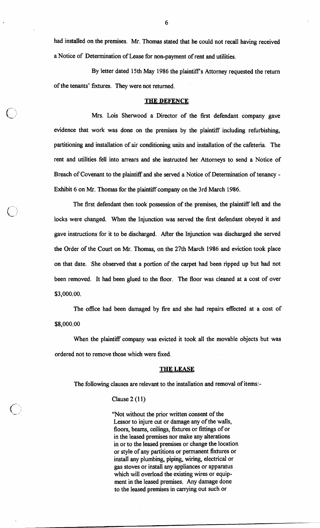had installed on the premises. Mr. Thomas stated that he could not recall having received a Notice of Determination of Lease for non-payment of rent and utilities.

By letter dated 15th May 1986 the plaintiff's Attorney requested the return of the tenants' fixtures. They were not returned.

### **THE DEFENCE**

Mrs. Lois Sherwood a Director of the first defendant company gave evidence that work was done on the premises by the plaintiff including refurbishing, partitioning and installation of air conditioning units and installation of the cafeteria. The rent and utilities fell into arrears and she instructed her Attorneys to send a Notice of Breach of Covenant to the plaintiff and she served a Notice of Determination of tenancy - Exhibit **6** on Mr. Thomas for the plaintiff company on the 3rd March **1986.** 

The first defendant then took possession of the premises, the plaintiff left and the locks were changed. When the Injunction was served the first defendant obeyed it and gave instructions for it to be discharged. After the Injunction was discharged she served the Order of the Court on Mr. Thomas, on the 27th March **1986** and eviction took place on that date. She observed that a portion of the carpet had been ripped up but had not been removed. It had been glued to the floor. The floor was cleaned at a cost of over \$3,000.00.

The office had been damaged by fire and she had repairs effected at a cost of \$8,000.00

When the plaintiff company was evicted it took all the movable objects but was ordered not to remove those which were fixed.

### **THE LEASE**

The following clauses are relevant to the installation and removal of items:-

### Clause 2 **(1 1)**

"Not without the prior written consent of the Lessor to injure cut or damage any of the walls, floors, beams, ceilings, fixtures or fittings of or in the leased premises nor make any alterations in or to the leased premises or change the location or style of any partitions or permanent fixtures or install any plumbing, piping, wiring, electrical or gas stoves or install any appliances or apparatus which will overload the existing wires or equipment in the leased premises. Any damage done to the leased premises in carrying out such or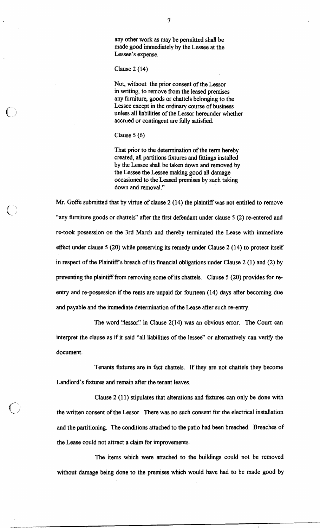any other work as may be permitted shall be made good immediately by the Lessee at the Lessee's expense.

Clause **2 (14)** 

Not, without the prior consent of the Lessor in writing, to remove fiom the leased premises any furniture, goods or chattels belonging to the Lessee except in the ordinary course of business unless all liabilities of the Lessor hereunder whether accrued or contingent are fully satisfied.

Clause 5 (6)

That prior to the determination of the term hereby created, all partitions fixtures and fittings installed by the Lessee shall be taken down and removed by the Lessee the Lessee making good all damage occasioned to the Leased premises by such taking down and removal."

Mr. Goffe submitted that by virtue of clause **2 (14)** the plaintiff was not entitled to remove "any furniture goods or chattels" after the first defendant under clause 5 **(2)** re-entered and re-took possession on the 3rd March and thereby terminated the Lease with immediate effect under clause 5 **(20)** while preserving its remedy under Clause **2 (14)** to protect itself in respect of the Plaintiffs breach of its financial obligations under Clause **2** (1) and **(2)** by preventing the plaintiff from removing some of its chattels. Clause 5 **(20)** provides for reentry and re-possession if the rents are unpaid for fourteen **(14)** days after becoming due and payable and the immediate determination of the Lease after such re-entry.

The word "lessor" in Clause **2(14)** was an obvious error. The Court can interpret the clause as if it said "all liabilities of the lessee" or alternatively can verify the document.

Tenants fixtures are in fact chattels. If they are not chattels they become Landlord's fixtures and remain after the tenant leaves.

Clause **2 (1 1)** stipulates that alterations and fixtures can only be done with the written consent of the Lessor. There was no such consent for the electrical installation and the partitioning. The conditions attached to the patio had been breached. Breaches of the Lease could not attract a claim for improvements.

The items which were attached to the buildings could not be removed without damage being done to the premises which would have had to be made good by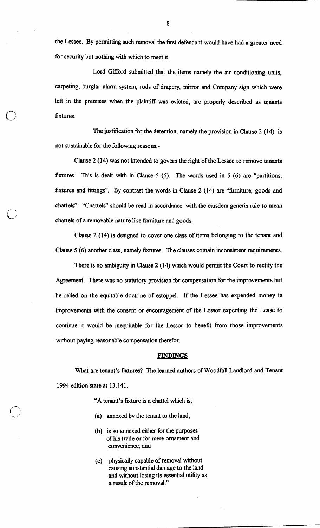the Lessee. By permitting such removal the first defendant would have had a greater need for security but nothing with which to meet it.

Lord Gifford submitted that the items namely the air conditioning units, carpeting, burglar alarm system, rods of drapery, mirror and Company sign which were left in the premises when the plaintiff was evicted, are properly described as tenants fixtures.

The justification for the detention, namely the provision in Clause  $2(14)$  is not sustainable for the following reasons:-

Clause 2 (14) was not intended to govern the right of the Lessee to remove tenants fixtures. This is dealt with in Clause 5 (6). The words used in 5 (6) are "partitions, fixtures and fittings". By contrast the words in Clause 2 (14) are "hrniture, goods and chattels". "Chattels" should be read in accordance with the eiusdem generis rule to mean chattels of a removable nature like furniture and goods.

Clause 2 (14) is designed to cover one class of items belonging to the tenant and Clause 5 (6) another class, namely fixtures. The clauses contain inconsistent requirements.

There is no ambiguity in Clause 2 (14) which would permit the Court to rectify the Agreement. There was no statutory provision for compensation for the improvements but he relied on the equitable doctrine of estoppel. If the Lessee has expended money in improvements with the consent or encouragement of the Lessor expecting the Lease to continue it would be inequitable for the Lessor to benefit from those improvements without paying reasonable compensation therefor.

#### **FINDINGS**

What are tenant's fixtures?, The learned authors of Woodfall Landlord and Tenant 1994 edition state at 13.141.

"A tenant's fixture is a chattel which is;

- (a) annexed by the tenant to the land;
- @) is so annexed either for the purposes of his trade or for mere ornament and convenience; and
- (c) physically capable of removal without causing substantial damage to the land and without losing its essential utility as a result of the removal."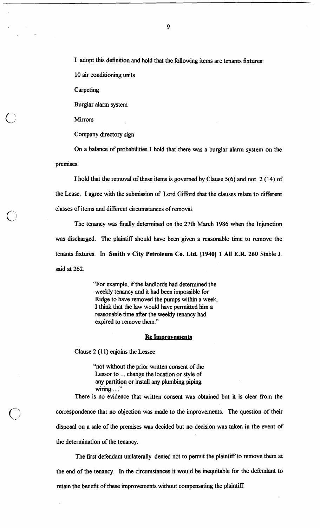I adopt this definition and hold that the following items are tenants fixtures:

10 air conditioning units

Carpeting

Burglar alarm system

**Mirrors** 

Company directory sign

On a balance of probabilities I hold that there was a burglar alarm system on the premises.

I hold that the removal of these items is governed by Clause 5(6) and not 2 (14) of the Lease. I agree with the submission of Lord Gifford that the clauses relate to different classes of items and different circumstances of removal.

The tenancy was finally determined on the 27th March 1986 when the Injunction was discharged. The plaintiff should have been given a reasonable time to remove the tenants fixtures. In **Smith** v **City Petroleum Co. Ltd. [I9401 1 All E.R 260** Stable **J.**  said at 262.

> "For example, if the landlords had determined the weekly tenancy and it had been impossible for Ridge to have removed the pumps within a week, I think that the law would have permitted him a reasonable time after the weekly tenancy had expired to remove them."

## **Re Improvements**

Clause 2 (1 1) enjoins the Lessee

"not without the prior written consent of the Lessor to ... change the location or style of any partition or install any plumbing piping **9,** wiring ....

There is no evidence that written consent was obtained but it is clear from the correspondence that no objection was made to the improvements. The question of their disposal on a sale of the premises was decided but no decision was taken in the event of the determination of the tenancy.

The first defendant unilaterally denied not to permit the plaintiff to remove them at the end of the tenancy. In the circumstances it would be inequitable for the defendant to retain the benefit of these improvements without compensating the plaintiff.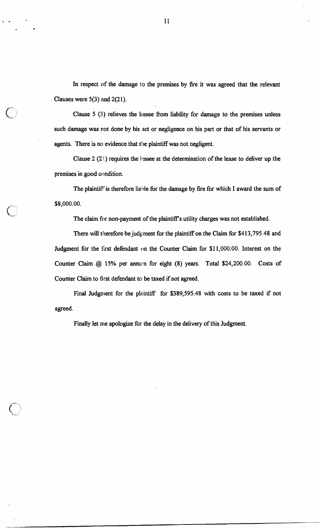In respect of the damage to the premises by fire it was agreed that the relevant Clauses were **5(3)** and **2(21).** 

Clause **5** (3) relieves the lessee from liability for damage to the premises unless such damage was not done by his act or negligence on his part or that of his servants or agents. There is no evidence that the plaintiff was not negligent.

Clause  $2(2!)$  requires the lessee at the determination of the lease to deliver up the premises in good condition.

The plaintiff is therefore liable for the damage by fire for which I award the sum of **\$8,000.00.** 

The claim for non-payment of the plaintiff's utility charges was not established.

There will therefore be judgment for the plaintiff on the Claim for **\$4 13,795.48** and Judgment for the fust defendant on the Counter Claim for \$1 **1,000.00.** Interest on the Counter Claim @ **15%** per **annuln** for eight **(8)** years. Total **\$24,200.00.** Costs of Counter Claim to first defendant to be taxed if not agreed.

Final Judgment for the plaintiff for \$389,595.48 with costs to be taxed if not agreed.

Finally let me apologize for the delay in the delivery of this Judgment.

11